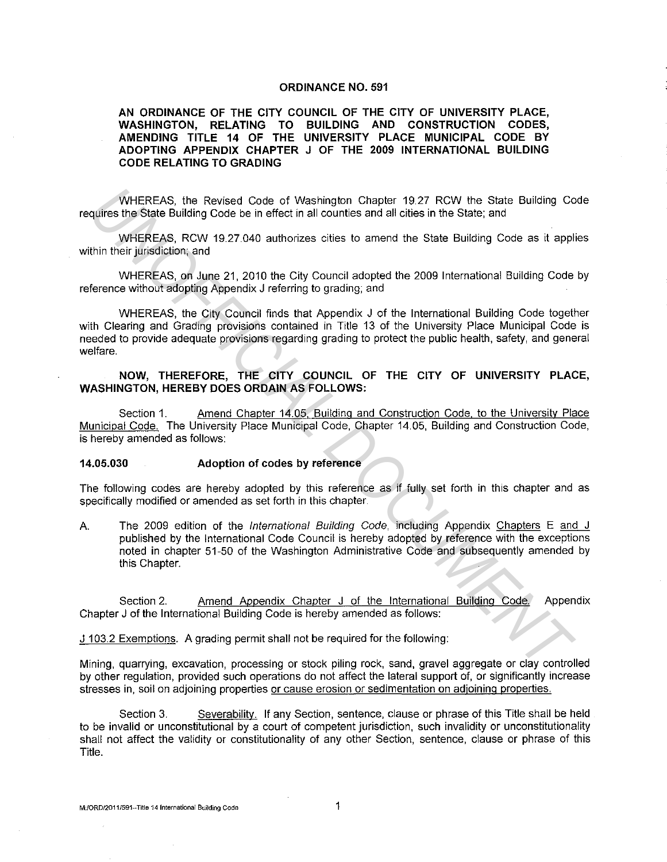#### ORDINANCE NO. 591

### AN ORDINANCE OF THE CITY COUNCIL OF THE CITY OF UNIVERSITY PLACE, WASHINGTON, RELATING TO BUILDING AND CONSTRUCTION CODES, AMENDING TITLE 14 OF THE UNIVERSITY PLACE MUNICIPAL CODE BY ADOPTING APPENDIX CHAPTER J OF THE 2009 INTERNATIONAL BUILDING CODE RELATING TO GRADING

WHEREAS, the Revised Code of Washington Chapter 19.27 RCW the State Building Code requires the State Building Code be in effect in all counties and all cities in the State; and

WHEREAS, RCW 19.27.040 authorizes cities to amend the State Building Code as it applies within their jurisdiction; and

WHEREAS, on June 21, 2010 the City Council adopted the 2009 International Building Code by reference without adopting Appendix J referring to grading; and

WHEREAS, the City Council finds that Appendix J of the International Building Code together with Clearing and Grading provisions contained in Title 13 of the University Place Municipal Code is needed to provide adequate provisions regarding grading to protect the public health. safety, and general welfare. WHEREAS, the Revised Code of Washington Chapter 19.27 RCW the State Building Co<br>
Wine This State Building Code be in effect in all counties and all cities in the State; and<br>
WHEREAS, RCW 19.27.040 authorizes cities to amen

## NOW, THEREFORE, THE CITY COUNCIL OF THE CITY OF UNIVERSITY PLACE, WASHINGTON, HEREBY DOES ORDAIN AS FOLLOWS:

Section 1. Amend Chapter 14.05, Building and Construction Code. to the University Place Municipal Code. The University Place Municipal Code, Chapter 14.05, Building and Construction Code, is hereby amended as follows:

#### 14.05.030 Adoption of codes by reference

The following codes are hereby adopted by this reference as if fully set forth in this chapter and as specifically modified or amended as set forth in this chapter.

A. The 2009 edition of the *International Building Code*, including Appendix Chapters E and J published by the International Code Council is hereby adopted by reference with the exceptions noted in chapter 51-50 of the Washington Administrative Code and subsequently amended by this Chapter.

Section 2. Amend Appendix Chapter J of the International Building Code. Appendix Chapter J of the International Building Code is hereby amended as follows:

J 103.2 Exemptions. A grading permit shall not be required for the following:

Mining, quarrying, excavation, processing or stock piling rock, sand, gravel aggregate or clay controlled by other regulation, provided such operations do not affect the lateral support of, or significantly increase stresses in, soil on adjoining properties or cause erosion or sedimentation on adjoining properties.

Section 3. Severability. If any Section, sentence, clause or phrase of this Title shall be held to be invalid or unconstitutional by a court of competent jurisdiction, such invalidity or unconstitutionality shall not affect the validity or constitutionality of any other Section, sentence, clause or phrase of this Title.